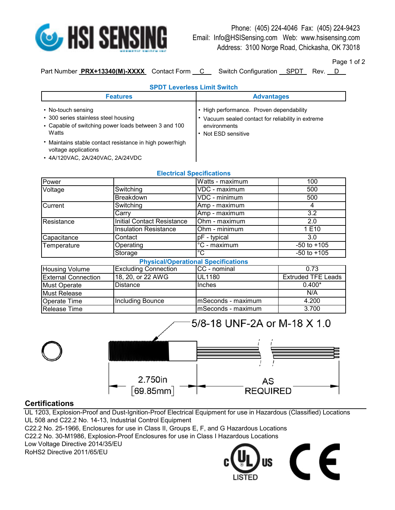

Phone: (405) 224-4046 Fax: (405) 224-9423 Email: Info@HSISensing.com Web: www.hsisensing.com Address: 3100 Norge Road, Chickasha, OK 73018

Page 1 of 2

Part Number **PRX+13340(M)-XXXX** Contact Form C Switch Configuration SPDT Rev. D

| v | ı<br>) |  |
|---|--------|--|
|   |        |  |

## **SPDT Leverless Limit Switch**

| <b>Features</b>                                                                                                             | <b>Advantages</b>                                                                                                                   |  |
|-----------------------------------------------------------------------------------------------------------------------------|-------------------------------------------------------------------------------------------------------------------------------------|--|
| • No-touch sensing<br>• 300 series stainless steel housing<br>• Capable of switching power loads between 3 and 100<br>Watts | • High performance. Proven dependability<br>• Vacuum sealed contact for reliability in extreme<br>environments<br>Not ESD sensitive |  |
| • Maintains stable contact resistance in high power/high<br>voltage applications<br>• 4A/120VAC, 2A/240VAC, 2A/24VDC        |                                                                                                                                     |  |

|                            |                                   | <b>Electrical Specifications</b>           |                           |
|----------------------------|-----------------------------------|--------------------------------------------|---------------------------|
| Power                      |                                   | Watts - maximum                            | 100                       |
| Voltage                    | Switching                         | VDC - maximum                              | 500                       |
|                            | Breakdown                         | VDC - minimum                              | 500                       |
| Current                    | Switching                         | Amp - maximum                              | 4                         |
|                            | Carry                             | Amp - maximum                              | $\overline{3.2}$          |
| Resistance                 | <b>Initial Contact Resistance</b> | Ohm - maximum                              | 2.0                       |
|                            | <b>Insulation Resistance</b>      | Ohm - minimum                              | 1 E10                     |
| Capacitance                | Contact                           | $pF - typical$                             | 3.0                       |
| Temperature                | Operating                         | $\overline{C}$ - maximum                   | $-50$ to $+105$           |
|                            | Storage                           | $^{\circ}C$                                | $-50$ to $+105$           |
|                            |                                   | <b>Physical/Operational Specifications</b> |                           |
| Housing Volume             | <b>Excluding Connection</b>       | CC - nominal                               | 0.73                      |
| <b>External Connection</b> | 18, 20, or 22 AWG                 | <b>UL1180</b>                              | <b>Extruded TFE Leads</b> |
| <b>Must Operate</b>        | Distance                          | Inches                                     | $0.400*$                  |
| <b>Must Release</b>        |                                   |                                            | N/A                       |
| <b>Operate Time</b>        | Including Bounce                  | mSeconds - maximum                         | 4.200                     |
| <b>Release Time</b>        |                                   | mSeconds - maximum                         | 3.700                     |

## **Electrical Specifications**



## **Certifications**

UL 1203, Explosion-Proof and Dust-Ignition-Proof Electrical Equipment for use in Hazardous (Classified) Locations UL 508 and C22.2 No. 14-13, Industrial Control Equipment

C22.2 No. 25-1966, Enclosures for use in Class II, Groups E, F, and G Hazardous Locations

C22.2 No. 30-M1986, Explosion-Proof Enclosures for use in Class I Hazardous Locations

Low Voltage Directive 2014/35/EU

RoHS2 Directive 2011/65/EU



5/8-18 UNF-2A or M-18 X 1.0